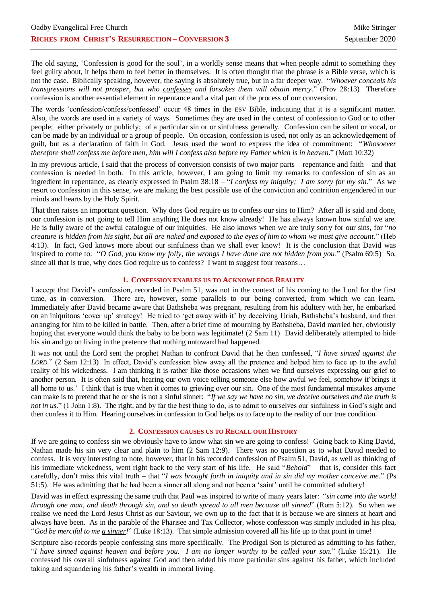The old saying, 'Confession is good for the soul', in a worldly sense means that when people admit to something they feel guilty about, it helps them to feel better in themselves. It is often thought that the phrase is a Bible verse, which is not the case. Biblically speaking, however, the saying is absolutely true, but in a far deeper way. "*Whoever conceals his transgressions will not prosper, but who confesses and forsakes them will obtain mercy.*" (Prov 28:13) Therefore confession is another essential element in repentance and a vital part of the process of our conversion.

The words 'confession/confess/confessed' occur 48 times in the ESV Bible, indicating that it is a significant matter. Also, the words are used in a variety of ways. Sometimes they are used in the context of confession to God or to other people; either privately or publicly; of a particular sin or or sinfulness generally. Confession can be silent or vocal, or can be made by an individual or a group of people. On occasion, confession is used, not only as an acknowledgement of guilt, but as a declaration of faith in God. Jesus used the word to express the idea of commitment: "*Whosoever therefore shall confess me before men, him will I confess also before my Father which is in heaven.*" (Matt 10:32)

In my previous article, I said that the process of conversion consists of two major parts – repentance and faith – and that confession is needed in both. In this article, however, I am going to limit my remarks to confession of sin as an ingredient in repentance, as clearly expressed in Psalm 38:18 – "*I confess my iniquity; I am sorry for my sin*." As we resort to confession in this sense, we are making the best possible use of the conviction and contrition engendered in our minds and hearts by the Holy Spirit.

That then raises an important question. Why does God require us to confess our sins to Him? After all is said and done, our confession is not going to tell Him anything He does not know already! He has always known how sinful we are. He is fully aware of the awful catalogue of our iniquities. He also knows when we are truly sorry for our sins, for "*no creature is hidden from his sight, but all are naked and exposed to the eyes of him to whom we must give account.*" (Heb 4:13). In fact, God knows more about our sinfulness than we shall ever know! It is the conclusion that David was inspired to come to: "*O God, you know my folly, the wrongs I have done are not hidden from you*." (Psalm 69:5) So, since all that is true, why does God require us to confess? I want to suggest four reasons...

## **1. CONFESSION ENABLES US TO ACKNOWLEDGE REALITY**

I accept that David's confession, recorded in Psalm 51, was not in the context of his coming to the Lord for the first time, as in conversion. There are, however, some parallels to our being converted, from which we can learn. Immediately after David became aware that Bathsheba was pregnant, resulting from his adultery with her, he embarked on an iniquitous 'cover up' strategy! He tried to 'get away with it' by deceiving Uriah, Bathsheba's husband, and then arranging for him to be killed in battle. Then, after a brief time of mourning by Bathsheba, David married her, obviously hoping that everyone would think the baby to be born was legitimate! (2 Sam 11) David deliberately attempted to hide his sin and go on living in the pretence that nothing untoward had happened.

It was not until the Lord sent the prophet Nathan to confront David that he then confessed, "*I have sinned against the LORD.*" (2 Sam 12:13) In effect, David's confession blew away all the pretence and helped him to face up to the awful reality of his wickedness. I am thinking it is rather like those occasions when we find ourselves expressing our grief to another person. It is often said that, hearing our own voice telling someone else how awful we feel, somehow it'brings it all home to us.' I think that is true when it comes to grieving over our sin. One of the most fundamental mistakes anyone can make is to pretend that he or she is not a sinful sinner: "*If we say we have no sin, we deceive ourselves and the truth is not in us.*" (1 John 1:8). The right, and by far the best thing to do, is to admit to ourselves our sinfulness in God's sight and then confess it to Him. Hearing ourselves in confession to God helps us to face up to the reality of our true condition.

## **2. CONFESSION CAUSES US TO RECALL OUR HISTORY**

If we are going to confess sin we obviously have to know what sin we are going to confess! Going back to King David, Nathan made his sin very clear and plain to him (2 Sam 12:9). There was no question as to what David needed to confess. It is very interesting to note, however, that in his recorded confession of Psalm 51, David, as well as thinking of his immediate wickedness, went right back to the very start of his life. He said "*Behold*" – that is, consider this fact carefully, don't miss this vital truth – that "*I was brought forth in iniquity and in sin did my mother conceive me.*" (Ps 51:5). He was admitting that he had been a sinner all along and not been a 'saint' until he committed adultery!

David was in effect expressing the same truth that Paul was inspired to write of many years later: "*sin came into the world through one man, and death through sin, and so death spread to all men because all sinned*" (Rom 5:12). So when we realise we need the Lord Jesus Christ as our Saviour, we own up to the fact that it is because we are sinners at heart and always have been. As in the parable of the Pharisee and Tax Collector, whose confession was simply included in his plea, "*God be merciful to me a sinner!*" (Luke 18:13). That simple admission covered all his life up to that point in time!

Scripture also records people confessing sins more specifically. The Prodigal Son is pictured as admitting to his father, "*I have sinned against heaven and before you. I am no longer worthy to be called your son.*" (Luke 15:21). He confessed his overall sinfulness against God and then added his more particular sins against his father, which included taking and squandering his father's wealth in immoral living.